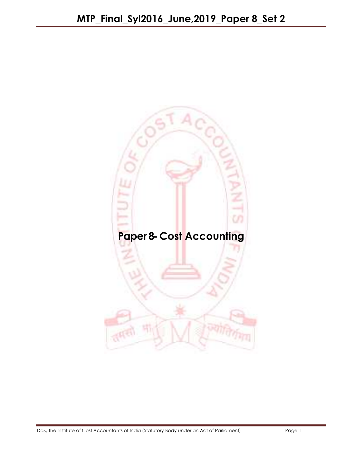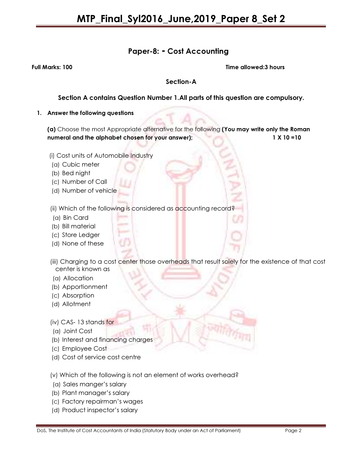## Paper-8: - Cost Accounting

Full Marks: 100 Time allowed:3 hours

### Section-A

## Section A contains Question Number 1.All parts of this question are compulsory.

#### 1. Answer the following questions

(a) Choose the most Appropriate alternative for the following (You may write only the Roman numeral and the alphabet chosen for your answer); 1 X 10 =10

- (i) Cost units of Automobile Industry
- (a) Cubic meter
- (b) Bed night
- (c) Number of Call
- (d) Number of vehicle
- (ii) Which of the following is considered as accounting record?
- (a) Bin Card
- (b) Bill material
- (c) Store Ledger
- (d) None of these
- (iii) Charging to a cost center those overheads that result solely for the existence of that cost center is known as
- (a) Allocation
- (b) Apportionment
- (c) Absorption
- (d) Allotment
- (iv) CAS- 13 stands for
- (a) Joint Cost
- (b) Interest and financing charges
- (c) Employee Cost
- (d) Cost of service cost centre

### (v) Which of the following is not an element of works overhead?

- (a) Sales manger's salary
- (b) Plant manager's salary
- (c) Factory repairman's wages
- (d) Product inspector's salary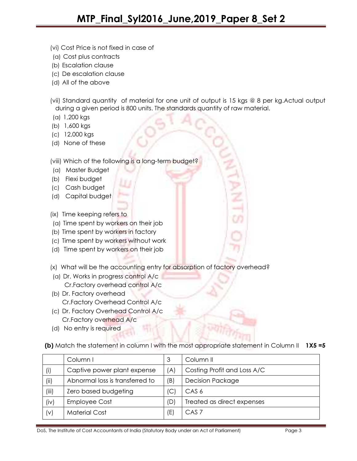- (vi) Cost Price is not fixed in case of
- (a) Cost plus contracts
- (b) Escalation clause
- (c) De escalation clause
- (d) All of the above
- (vii) Standard quantity of material for one unit of output is 15 kgs @ 8 per kg.Actual output during a given period is 800 units. The standards quantity of raw material.
- (a) 1,200 kgs
- (b) 1,600 kgs
- (c) 12,000 kgs
- (d) None of these

(viii) Which of the following is a long-term budget?

- (a) Master Budget
- (b) Flexi budget
- (c) Cash budget
- (d) Capital budget
- (ix) Time keeping refers to
- (a) Time spent by workers on their job
- (b) Time spent by workers in factory
- (c) Time spent by workers without work
- (d) Time spent by workers on their job
- (x) What will be the accounting entry for absorption of factory overhead?
- (a) Dr. Works in progress control A/c Cr.Factory overhead control A/c
- (b) Dr. Factory overhead Cr.Factory Overhead Control A/c
- (c) Dr. Factory Overhead Control A/c Cr.Factory overhead A/c
- (d) No entry is required

(b) Match the statement in column I with the most appropriate statement in Column II 1X5 =5

|       | Column I                        | 3   | Column II                   |
|-------|---------------------------------|-----|-----------------------------|
| (i)   | Captive power plant expense     | (A) | Costing Profit and Loss A/C |
| (ii)  | Abnormal loss is transferred to | (B) | <b>Decision Package</b>     |
| (iii) | Zero based budgeting            | (C  | CAS <sub>6</sub>            |
| (iv)  | <b>Employee Cost</b>            | (D) | Treated as direct expenses  |
| (v)   | <b>Material Cost</b>            | (E) | CAS <sub>7</sub>            |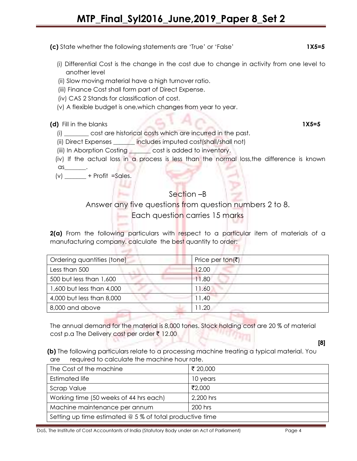(c) State whether the following statements are 'True' or 'False' 1X5=5

- (i) Differential Cost is the change in the cost due to change in activity from one level to another level
- (ii) Slow moving material have a high turnover ratio.
- (iii) Finance Cost shall form part of Direct Expense.
- (iv) CAS 2 Stands for classification of cost.
- (v) A flexible budget is one,which changes from year to year.

## (d) Fill in the blanks 1X5=5

- (i) \_\_\_\_\_\_\_\_ cost are historical costs which are incurred in the past.
- (ii) Direct Expenses \_\_\_\_\_\_\_ includes imputed cost(shall/shall not)
- (iii) In Aborption Costing cost is added to inventory.
- (iv) If the actual loss in a process is less than the normal loss,the difference is known as\_\_\_\_\_\_\_.
- $(v)$  \_\_\_\_\_\_\_\_\_ + Profit =Sales.

## Section –B

Answer any five questions from question numbers 2 to 8.

**Each question carries 15 marks** 

2(a) From the following particulars with respect to a particular item of materials of a manufacturing company. calculate the best quantity to order:

| Ordering quantities (tone) | Price per ton( $\bar{z}$ ) |
|----------------------------|----------------------------|
| Less than 500              | 12.00                      |
| 500 but less than 1,600    | 11.80                      |
| 1,600 but less than 4,000  | 11.60                      |
| 4,000 but less than 8,000  | 1.40                       |
| 8,000 and above            | 11.20                      |

The annual demand for the material is 8,000 tones. Stock holding cost are 20 % of material cost p.a The Delivery cost per order ₹ 12.00

 (b) The following particulars relate to a processing machine treating a typical material. You are required to calculate the machine hour rate.

| The Cost of the machine                                  | ₹ 20,000  |  |
|----------------------------------------------------------|-----------|--|
| <b>Estimated life</b>                                    | 10 years  |  |
| Scrap Value                                              | ₹2,000    |  |
| Working time (50 weeks of 44 hrs each)                   | 2,200 hrs |  |
| Machine maintenance per annum                            | 200 hrs   |  |
| Setting up time estimated @ 5 % of total productive time |           |  |

DoS, The Institute of Cost Accountants of India (Statutory Body under an Act of Parliament) Page 4

[8]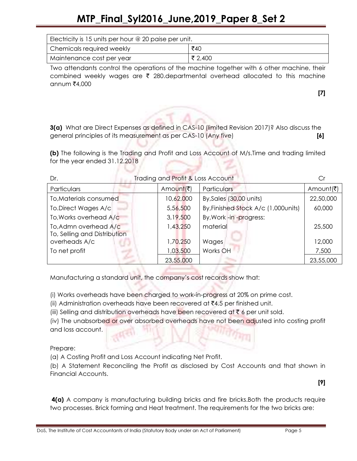# MTP\_Final\_Syl2016\_June,2019\_Paper 8\_Set 2

| Electricity is 15 units per hour $@$ 20 paise per unit. |         |  |
|---------------------------------------------------------|---------|--|
| Chemicals required weekly                               | ₹40     |  |
| 'Maintenance cost per year                              | ₹ 2,400 |  |

 Two attendants control the operations of the machine together with 6 other machine, their combined weekly wages are  $\bar{\tau}$  280.departmental overhead allocated to this machine annum  $\bar{x}$ 4,000

[7]

3(a) What are Direct Expenses as defined in CAS-10 (limited Revision 2017)? Also discuss the general principles of its measurement as per CAS-10 (Any five) [6]

(b) The following is the Trading and Profit and Loss Account of M/s.Time and trading limited for the year ended 31.12.2018

| Dr.                          | Trading and Profit & Loss Account |                                      |           |
|------------------------------|-----------------------------------|--------------------------------------|-----------|
| Particulars                  | Amount(₹)                         | <b>Particulars</b>                   | Amount(₹) |
| To, Materials consumed       | 10,62,000                         | By, Sales (30,00 units)              | 22,50,000 |
| To.Direct Wages A/c          | 5,56,500                          | By, Finished Stock A/c (1,000 units) | 60,000    |
| To, Works overhead A/c       | 3,19,500                          | By, Work -in -progress:              |           |
| To, Admn overhead A/c        | 1,43,250                          | material                             | 25,500    |
| To, Selling and Distribution |                                   |                                      |           |
| overheads A/c                | 1,70,250                          | Wages                                | 12,000    |
| To net profit                | 1,03,500                          | Works OH                             | 7,500     |
|                              | 23,55,000                         |                                      | 23,55,000 |

Manufacturing a standard unit, the company's cost records show that:

(i) Works overheads have been charged to work-in-progress at 20% on prime cost.

(ii) Administration overheads have been recovered at  $\bar{\tau}$ 4.5 per finished unit.

(iii) Selling and distribution overheads have been recovered at  $\bar{\tau}$  6 per unit sold.

(iv) The unabsorbed or over absorbed overheads have not been adjusted into costing profit and loss account.

Prepare:

(a) A Costing Profit and Loss Account indicating Net Profit.

(b) A Statement Reconciling the Profit as disclosed by Cost Accounts and that shown in Financial Accounts.

[9]

4(a) A company is manufacturing building bricks and fire bricks.Both the products require two processes. Brick forming and Heat treatment. The requirements for the two bricks are: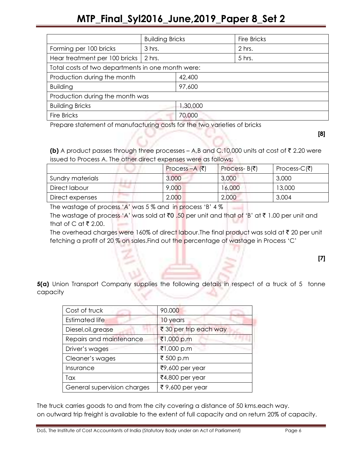# MTP\_Final\_Syl2016\_June,2019\_Paper 8\_Set 2

|                                                   | <b>Building Bricks</b> |          | <b>Fire Bricks</b> |
|---------------------------------------------------|------------------------|----------|--------------------|
| Forming per 100 bricks                            | 3 hrs.                 |          | 2 hrs.             |
| Hear treatment per 100 bricks   2 hrs.            |                        |          | 5 hrs.             |
| Total costs of two departments in one month were: |                        |          |                    |
| Production during the month                       |                        | 42,400   |                    |
| <b>Building</b>                                   |                        | 97,600   |                    |
| Production during the month was                   |                        |          |                    |
| <b>Building Bricks</b>                            |                        | 1,30,000 |                    |
| <b>Fire Bricks</b>                                |                        | 70,000   |                    |

Prepare statement of manufacturing costs for the two varieties of bricks

[8]

**(b)** A product passes through three processes – A,B and C.10,000 units at cost of  $\bar{\tau}$  2.20 were issued to Process A. The other direct expenses were as follows;

|                  | Process $-A$ (₹) | Process- $B(\bar{\bar{z}})$ | Process-C( $\bar{z}$ ) |
|------------------|------------------|-----------------------------|------------------------|
| Sundry materials | 3,000            | 3,000                       | 3,000                  |
| Direct labour    | 9,000            | 16,000                      | 13,000                 |
| Direct expenses  | 2,000            | 2,000                       | 3,004                  |

The wastage of process 'A' was 5 % and in process 'B' 4 %

The wastage of process 'A' was sold at  $\bar{z}0$  .50 per unit and that of 'B' at  $\bar{z}$  1.00 per unit and that of C at  $\bar{x}$  2.00.

The overhead charges were 160% of direct labour. The final product was sold at  $\bar{\tau}$  20 per unit fetching a profit of 20 % on sales.Find out the percentage of wastage in Process 'C'

[7]

**5(a)** Union Transport Company supplies the following details in respect of a truck of 5 tonne capacity

| Cost of truck               | 90.000                 |
|-----------------------------|------------------------|
| <b>Estimated life</b>       | 10 years               |
| Diesel, oil, grease         | ₹ 30 per trip each way |
| Repairs and maintenance     | ₹1,000 p.m             |
| Driver's wages              | ₹1,000 p.m             |
| Cleaner's wages             | ₹ 500 p.m              |
| Insurance                   | ₹9,600 per year        |
| Tax                         | ₹4,800 per year        |
| General supervision charges | ₹ 9,600 per year       |

The truck carries goods to and from the city covering a distance of 50 kms.each way. on outward trip freight is available to the extent of full capacity and on return 20% of capacity.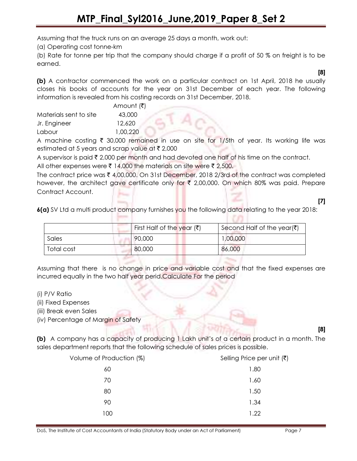Assuming that the truck runs on an average 25 days a month, work out:

(a) Operating cost tonne-km

(b) Rate for tonne per trip that the company should charge if a profit of 50 % on freight is to be earned.

(b) A contractor commenced the work on a particular contract on 1st April, 2018 he usually closes his books of accounts for the year on 31st December of each year. The following information is revealed from his costing records on 31st December, 2018.

|                        | Amount (₹) |
|------------------------|------------|
| Materials sent to site | 43,000     |
| Jr. Engineer           | 12,620     |
| Labour                 | 1,00,220   |

A machine costing  $\bar{\tau}$  30,000 remained in use on site for 1/5th of year. Its working life was estimated at 5 years and scrap value at  $\bar{\tau}$  2,000

A supervisor is paid  $\bar{\tau}$  2,000 per month and had devoted one half of his time on the contract.

All other expenses were  $\bar{\tau}$  14,000 the materials on site were  $\bar{\tau}$  2,500.

The contract price was  $\bar{\tau}$  4,00,000. On 31st December, 2018 2/3rd of the contract was completed however, the architect gave certificate only for  $\bar{\tau}$  2,00,000. On which 80% was paid. Prepare Contract Account.

### [7]

[8]

6(a) SV Ltd a multi product company furnishes you the following data relating to the year 2018:

|            | First Half of the year $(\bar{\zeta})$ | Second Half of the year $(\bar{\zeta})$ |
|------------|----------------------------------------|-----------------------------------------|
| Sales      | 90,000                                 | ,00,000                                 |
| Total cost | 80,000                                 | 86,000                                  |

Assuming that there is no change in price and variable cost and that the fixed expenses are incurred equally in the two half year perid.Calculate For the period

- (i) P/V Ratio
- (ii) Fixed Expenses
- (iii) Break even Sales
- (iv) Percentage of Margin of Safety

(b) A company has a capacity of producing 1 Lakh unit's of a certain product in a month. The sales department reports that the following schedule of sales prices is possible.

| Volume of Production (%) | Selling Price per unit $(\bar{\zeta})$ |
|--------------------------|----------------------------------------|
| 60                       | 1.80                                   |
| 70                       | 1.60                                   |
| 80                       | 1.50                                   |
| 90                       | 1.34                                   |
| 100                      | 1.22                                   |

[8]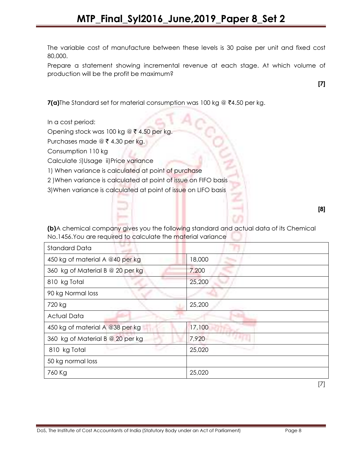The variable cost of manufacture between these levels is 30 paise per unit and fixed cost 80,000.

Prepare a statement showing incremental revenue at each stage. At which volume of production will be the profit be maximum?

[7]

 $7(a)$ The Standard set for material consumption was 100 kg @  $\overline{6}4.50$  per kg.

In a cost period:

Opening stock was 100 kg @  $\bar{\tau}$  4.50 per kg.

Purchases made  $@ \xi 4.30$  per kg.

Consumption 110 kg

Calculate :i)Usage ii)Price variance

1) When variance is calculated at point of purchase

2 )When variance is calculated at point of issue on FIFO basis

3) When variance is calculated at point of issue on LIFO basis

[8]

(b)A chemical company gives you the following standard and actual data of its Chemical No.1456.You are required to calculate the material variance

| <b>Standard Data</b>             |        |
|----------------------------------|--------|
| 450 kg of material A @40 per kg  | 18,000 |
| 360 kg of Material B @ 20 per kg | 7,200  |
| 810 kg Total                     | 25,200 |
| 90 kg Normal loss                |        |
| 720 kg                           | 25,200 |
| Actual Data                      |        |
| 450 kg of material A @38 per kg  | 17,100 |
| 360 kg of Material B @ 20 per kg | 7,920  |
| 810 kg Total                     | 25,020 |
| 50 kg normal loss                |        |
| 760 Kg                           | 25,020 |